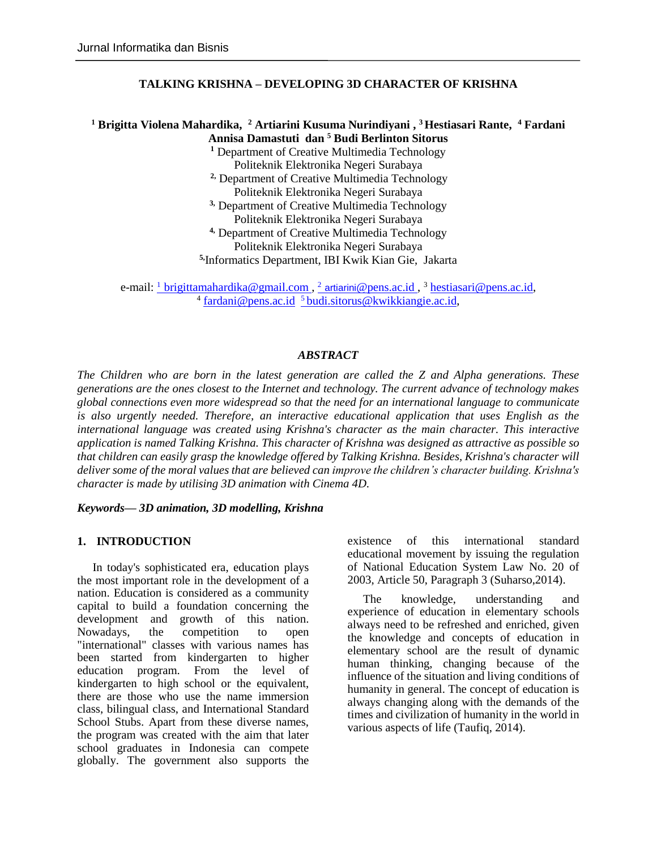### **TALKING KRISHNA – DEVELOPING 3D CHARACTER OF KRISHNA**

# **<sup>1</sup> Brigitta Violena Mahardika, <sup>2</sup> Artiarini Kusuma Nurindiyani , <sup>3</sup>Hestiasari Rante, <sup>4</sup> Fardani Annisa Damastuti dan <sup>5</sup> Budi Berlinton Sitorus**

**<sup>1</sup>** Department of Creative Multimedia Technology Politeknik Elektronika Negeri Surabaya **2,** Department of Creative Multimedia Technology

Politeknik Elektronika Negeri Surabaya

**3,** Department of Creative Multimedia Technology

Politeknik Elektronika Negeri Surabaya

**4,** Department of Creative Multimedia Technology

Politeknik Elektronika Negeri Surabaya

**5,** Informatics Department, IBI Kwik Kian Gie, Jakarta

e-mail: <u><sup>1</sup> brigittamahardika@gmail.com, <sup>2</sup> artiarini@pens.ac.id, <sup>3</sup> [hestiasari@pens.ac.id,](mailto:hestiasari@pens.ac.id)</u> <sup>4</sup> [fardani@pens.ac.id](mailto:fardani@pens.ac.id) <sup>5</sup> [budi.sitorus@kwikkiangie.ac.id,](mailto:5%20budi.sitorus@kwikkiangie.ac.id)

### *ABSTRACT*

*The Children who are born in the latest generation are called the Z and Alpha generations. These generations are the ones closest to the Internet and technology. The current advance of technology makes global connections even more widespread so that the need for an international language to communicate is also urgently needed. Therefore, an interactive educational application that uses English as the international language was created using Krishna's character as the main character. This interactive application is named Talking Krishna. This character of Krishna was designed as attractive as possible so that children can easily grasp the knowledge offered by Talking Krishna. Besides, Krishna's character will deliver some of the moral values that are believed can improve the children's character building. Krishna's character is made by utilising 3D animation with Cinema 4D.*

*Keywords— 3D animation, 3D modelling, Krishna*

### **1. INTRODUCTION**

In today's sophisticated era, education plays the most important role in the development of a nation. Education is considered as a community capital to build a foundation concerning the development and growth of this nation. Nowadays, the competition to open "international" classes with various names has been started from kindergarten to higher education program. From the level of kindergarten to high school or the equivalent, there are those who use the name immersion class, bilingual class, and International Standard School Stubs. Apart from these diverse names, the program was created with the aim that later school graduates in Indonesia can compete globally. The government also supports the

existence of this international standard educational movement by issuing the regulation of National Education System Law No. 20 of 2003, Article 50, Paragraph 3 (Suharso,2014).

The knowledge, understanding and experience of education in elementary schools always need to be refreshed and enriched, given the knowledge and concepts of education in elementary school are the result of dynamic human thinking, changing because of the influence of the situation and living conditions of humanity in general. The concept of education is always changing along with the demands of the times and civilization of humanity in the world in various aspects of life (Taufiq, 2014).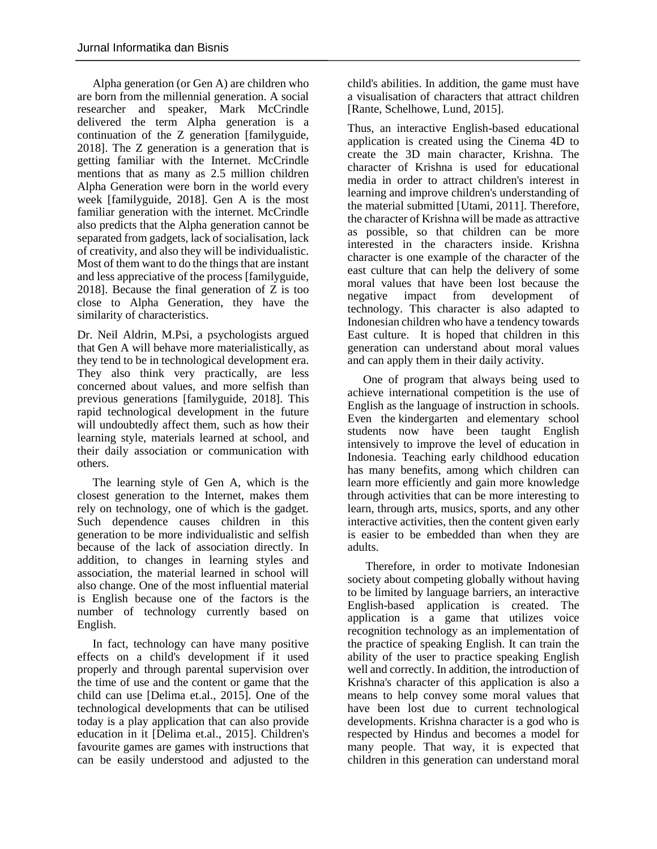Alpha generation (or Gen A) are children who are born from the millennial generation. A social researcher and speaker, Mark McCrindle delivered the term Alpha generation is a continuation of the Z generation [familyguide, 2018]. The Z generation is a generation that is getting familiar with the Internet. McCrindle mentions that as many as 2.5 million children Alpha Generation were born in the world every week [familyguide, 2018]. Gen A is the most familiar generation with the internet. McCrindle also predicts that the Alpha generation cannot be separated from gadgets, lack of socialisation, lack of creativity, and also they will be individualistic. Most of them want to do the things that are instant and less appreciative of the process [familyguide, 2018]. Because the final generation of Z is too close to Alpha Generation, they have the similarity of characteristics.

Dr. Neil Aldrin, M.Psi, a psychologists argued that Gen A will behave more materialistically, as they tend to be in technological development era. They also think very practically, are less concerned about values, and more selfish than previous generations [familyguide, 2018]. This rapid technological development in the future will undoubtedly affect them, such as how their learning style, materials learned at school, and their daily association or communication with others.

The learning style of Gen A, which is the closest generation to the Internet, makes them rely on technology, one of which is the gadget. Such dependence causes children in this generation to be more individualistic and selfish because of the lack of association directly. In addition, to changes in learning styles and association, the material learned in school will also change. One of the most influential material is English because one of the factors is the number of technology currently based on English.

In fact, technology can have many positive effects on a child's development if it used properly and through parental supervision over the time of use and the content or game that the child can use [Delima et.al., 2015]. One of the technological developments that can be utilised today is a play application that can also provide education in it [Delima et.al., 2015]. Children's favourite games are games with instructions that can be easily understood and adjusted to the child's abilities. In addition, the game must have a visualisation of characters that attract children [Rante, Schelhowe, Lund, 2015].

Thus, an interactive English-based educational application is created using the Cinema 4D to create the 3D main character, Krishna. The character of Krishna is used for educational media in order to attract children's interest in learning and improve children's understanding of the material submitted [Utami, 2011]. Therefore, the character of Krishna will be made as attractive as possible, so that children can be more interested in the characters inside. Krishna character is one example of the character of the east culture that can help the delivery of some moral values that have been lost because the negative impact from development of technology. This character is also adapted to Indonesian children who have a tendency towards East culture. It is hoped that children in this generation can understand about moral values and can apply them in their daily activity.

One of program that always being used to achieve international competition is the use of English as the language of instruction in schools. Even the kindergarten and elementary school students now have been taught English intensively to improve the level of education in Indonesia. Teaching early childhood education has many benefits, among which children can learn more efficiently and gain more knowledge through activities that can be more interesting to learn, through arts, musics, sports, and any other interactive activities, then the content given early is easier to be embedded than when they are adults.

Therefore, in order to motivate Indonesian society about competing globally without having to be limited by language barriers, an interactive English-based application is created. The application is a game that utilizes voice recognition technology as an implementation of the practice of speaking English. It can train the ability of the user to practice speaking English well and correctly. In addition, the introduction of Krishna's character of this application is also a means to help convey some moral values that have been lost due to current technological developments. Krishna character is a god who is respected by Hindus and becomes a model for many people. That way, it is expected that children in this generation can understand moral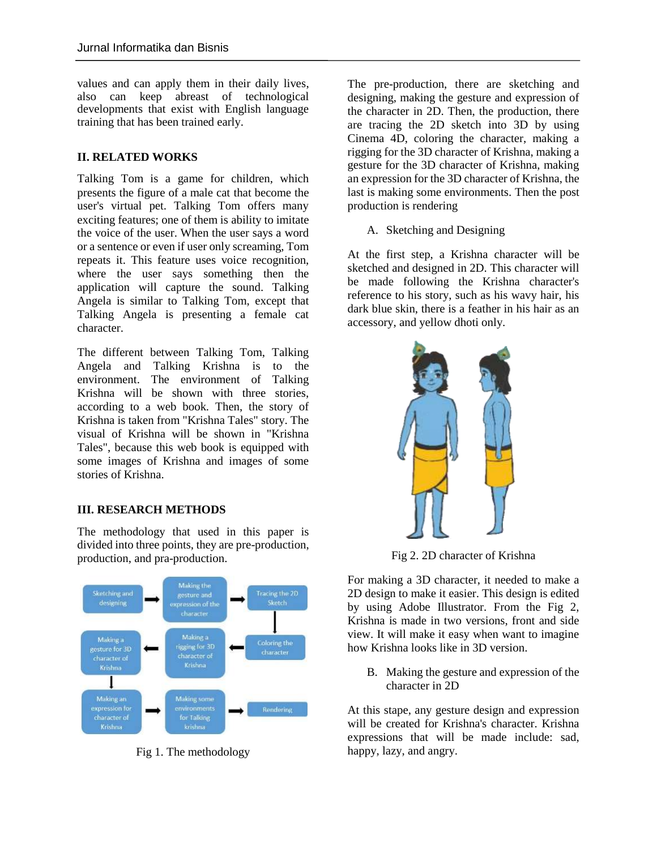values and can apply them in their daily lives, also can keep abreast of technological developments that exist with English language training that has been trained early.

# **II. RELATED WORKS**

Talking Tom is a game for children, which presents the figure of a male cat that become the user's virtual pet. Talking Tom offers many exciting features; one of them is ability to imitate the voice of the user. When the user says a word or a sentence or even if user only screaming, Tom repeats it. This feature uses voice recognition, where the user says something then the application will capture the sound. Talking Angela is similar to Talking Tom, except that Talking Angela is presenting a female cat character.

The different between Talking Tom, Talking Angela and Talking Krishna is to the environment. The environment of Talking Krishna will be shown with three stories, according to a web book. Then, the story of Krishna is taken from "Krishna Tales" story. The visual of Krishna will be shown in "Krishna Tales", because this web book is equipped with some images of Krishna and images of some stories of Krishna.

# **III. RESEARCH METHODS**

The methodology that used in this paper is divided into three points, they are pre-production, production, and pra-production.



Fig 1. The methodology

The pre-production, there are sketching and designing, making the gesture and expression of the character in 2D. Then, the production, there are tracing the 2D sketch into 3D by using Cinema 4D, coloring the character, making a rigging for the 3D character of Krishna, making a gesture for the 3D character of Krishna, making an expression for the 3D character of Krishna, the last is making some environments. Then the post production is rendering

# A. Sketching and Designing

At the first step, a Krishna character will be sketched and designed in 2D. This character will be made following the Krishna character's reference to his story, such as his wavy hair, his dark blue skin, there is a feather in his hair as an accessory, and yellow dhoti only.



Fig 2. 2D character of Krishna

For making a 3D character, it needed to make a 2D design to make it easier. This design is edited by using Adobe Illustrator. From the Fig 2, Krishna is made in two versions, front and side view. It will make it easy when want to imagine how Krishna looks like in 3D version.

B. Making the gesture and expression of the character in 2D

At this stape, any gesture design and expression will be created for Krishna's character. Krishna expressions that will be made include: sad, happy, lazy, and angry.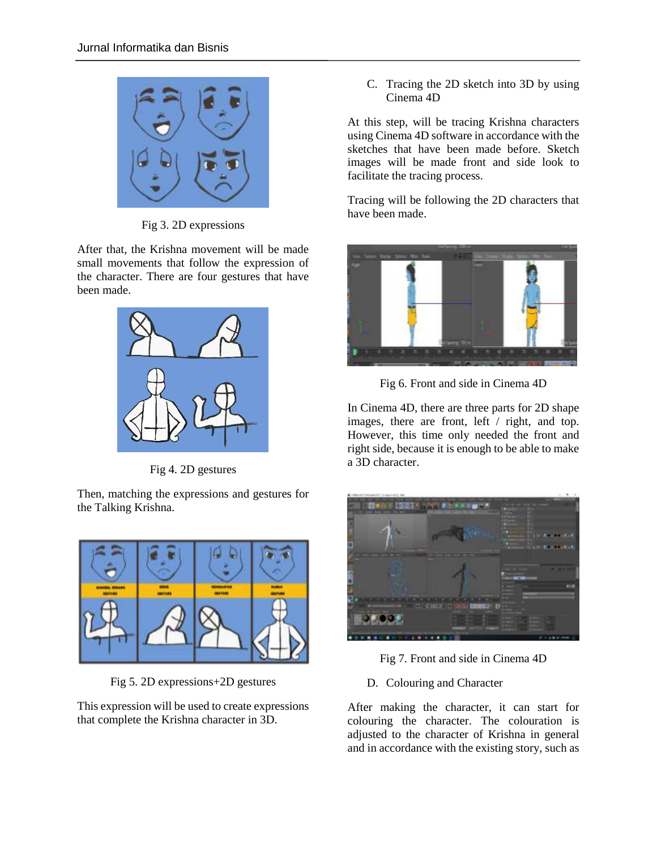

Fig 3. 2D expressions

After that, the Krishna movement will be made small movements that follow the expression of the character. There are four gestures that have been made.



Fig 4. 2D gestures

Then, matching the expressions and gestures for the Talking Krishna.



Fig 5. 2D expressions+2D gestures

This expression will be used to create expressions that complete the Krishna character in 3D.

C. Tracing the 2D sketch into 3D by using Cinema 4D

At this step, will be tracing Krishna characters using Cinema 4D software in accordance with the sketches that have been made before. Sketch images will be made front and side look to facilitate the tracing process.

Tracing will be following the 2D characters that have been made.



Fig 6. Front and side in Cinema 4D

In Cinema 4D, there are three parts for 2D shape images, there are front, left / right, and top. However, this time only needed the front and right side, because it is enough to be able to make a 3D character.



Fig 7. Front and side in Cinema 4D

D. Colouring and Character

After making the character, it can start for colouring the character. The colouration is adjusted to the character of Krishna in general and in accordance with the existing story, such as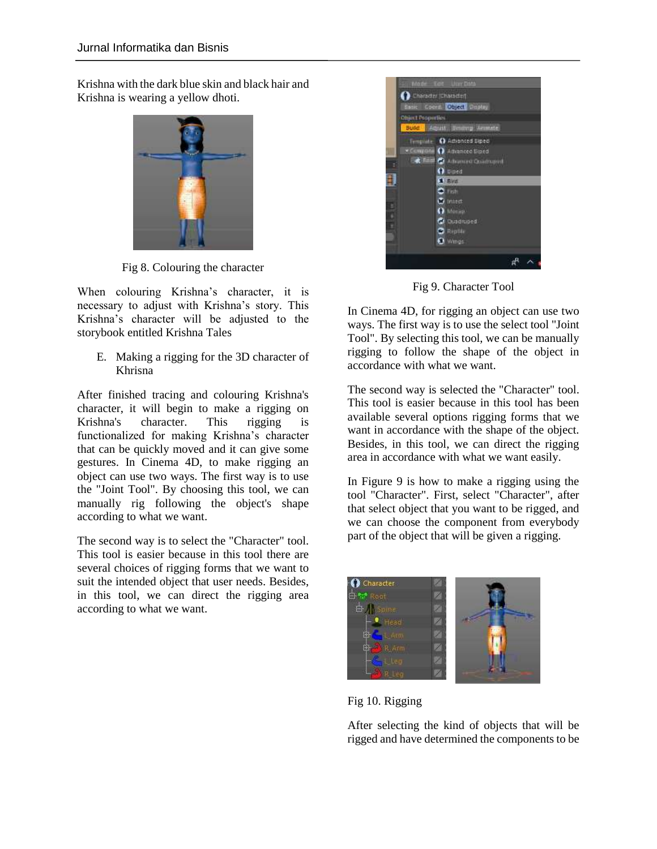Krishna with the dark blue skin and black hair and Krishna is wearing a yellow dhoti.



Fig 8. Colouring the character

When colouring Krishna's character, it is necessary to adjust with Krishna's story. This Krishna's character will be adjusted to the storybook entitled Krishna Tales

E. Making a rigging for the 3D character of Khrisna

After finished tracing and colouring Krishna's character, it will begin to make a rigging on Krishna's character. This rigging is functionalized for making Krishna's character that can be quickly moved and it can give some gestures. In Cinema 4D, to make rigging an object can use two ways. The first way is to use the "Joint Tool". By choosing this tool, we can manually rig following the object's shape according to what we want.

The second way is to select the "Character" tool. This tool is easier because in this tool there are several choices of rigging forms that we want to suit the intended object that user needs. Besides, in this tool, we can direct the rigging area according to what we want.



Fig 9. Character Tool

In Cinema 4D, for rigging an object can use two ways. The first way is to use the select tool "Joint Tool". By selecting this tool, we can be manually rigging to follow the shape of the object in accordance with what we want.

The second way is selected the "Character" tool. This tool is easier because in this tool has been available several options rigging forms that we want in accordance with the shape of the object. Besides, in this tool, we can direct the rigging area in accordance with what we want easily.

In Figure 9 is how to make a rigging using the tool "Character". First, select "Character", after that select object that you want to be rigged, and we can choose the component from everybody part of the object that will be given a rigging.



Fig 10. Rigging

After selecting the kind of objects that will be rigged and have determined the components to be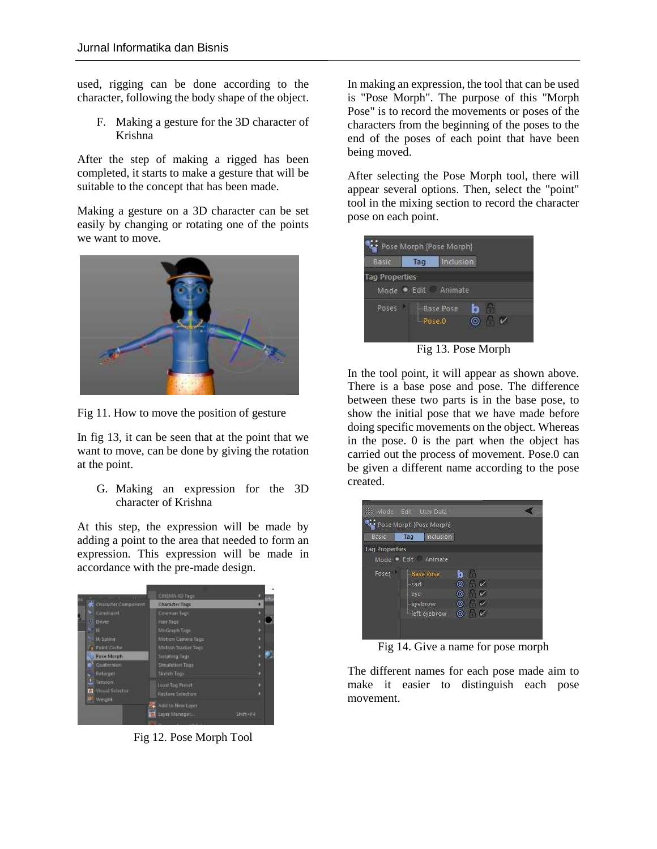used, rigging can be done according to the character, following the body shape of the object.

F. Making a gesture for the 3D character of Krishna

After the step of making a rigged has been completed, it starts to make a gesture that will be suitable to the concept that has been made.

Making a gesture on a 3D character can be set easily by changing or rotating one of the points we want to move.



Fig 11. How to move the position of gesture

In fig 13, it can be seen that at the point that we want to move, can be done by giving the rotation at the point.

G. Making an expression for the 3D character of Krishna

At this step, the expression will be made by adding a point to the area that needed to form an expression. This expression will be made in accordance with the pre-made design.



Fig 12. Pose Morph Tool

In making an expression, the tool that can be used is "Pose Morph". The purpose of this "Morph Pose" is to record the movements or poses of the characters from the beginning of the poses to the end of the poses of each point that have been being moved.

After selecting the Pose Morph tool, there will appear several options. Then, select the "point" tool in the mixing section to record the character pose on each point.



In the tool point, it will appear as shown above.

There is a base pose and pose. The difference between these two parts is in the base pose, to show the initial pose that we have made before doing specific movements on the object. Whereas in the pose. 0 is the part when the object has carried out the process of movement. Pose.0 can be given a different name according to the pose created.



Fig 14. Give a name for pose morph

The different names for each pose made aim to make it easier to distinguish each pose movement.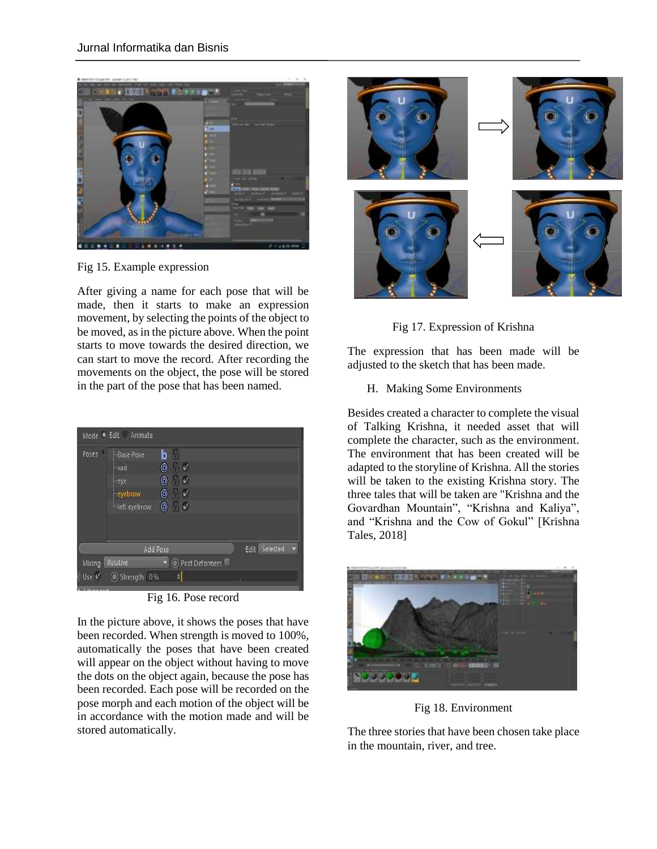

Fig 15. Example expression

After giving a name for each pose that will be made, then it starts to make an expression movement, by selecting the points of the object to be moved, as in the picture above. When the point starts to move towards the desired direction, we can start to move the record. After recording the movements on the object, the pose will be stored in the part of the pose that has been named.

| Mode Edit Animate                                          |                                       |                                |                                                                                  |               |  |
|------------------------------------------------------------|---------------------------------------|--------------------------------|----------------------------------------------------------------------------------|---------------|--|
| <b>Base Pose</b><br>sad<br>-eye<br>eyebrow<br>left eyebrow | b<br>$\circledcirc$<br>$\circledcirc$ | A<br>$\mathbb{C}$ $\mathbb{V}$ |                                                                                  |               |  |
| <b>Add Pose</b>                                            |                                       |                                |                                                                                  | Edit Selected |  |
|                                                            |                                       |                                |                                                                                  |               |  |
|                                                            |                                       | ş                              |                                                                                  |               |  |
|                                                            | Relative                              | Strength 0%                    | $\sqrt{2}$<br>$\circ$ $\checkmark$<br>$\circ$ $\checkmark$<br>▼ © Post Deformers |               |  |

Fig 16. Pose record

In the picture above, it shows the poses that have been recorded. When strength is moved to 100%, automatically the poses that have been created will appear on the object without having to move the dots on the object again, because the pose has been recorded. Each pose will be recorded on the pose morph and each motion of the object will be in accordance with the motion made and will be stored automatically.



Fig 17. Expression of Krishna

The expression that has been made will be adjusted to the sketch that has been made.

H. Making Some Environments

Besides created a character to complete the visual of Talking Krishna, it needed asset that will complete the character, such as the environment. The environment that has been created will be adapted to the storyline of Krishna. All the stories will be taken to the existing Krishna story. The three tales that will be taken are "Krishna and the Govardhan Mountain", "Krishna and Kaliya", and "Krishna and the Cow of Gokul" [Krishna Tales, 2018]



Fig 18. Environment

The three stories that have been chosen take place in the mountain, river, and tree.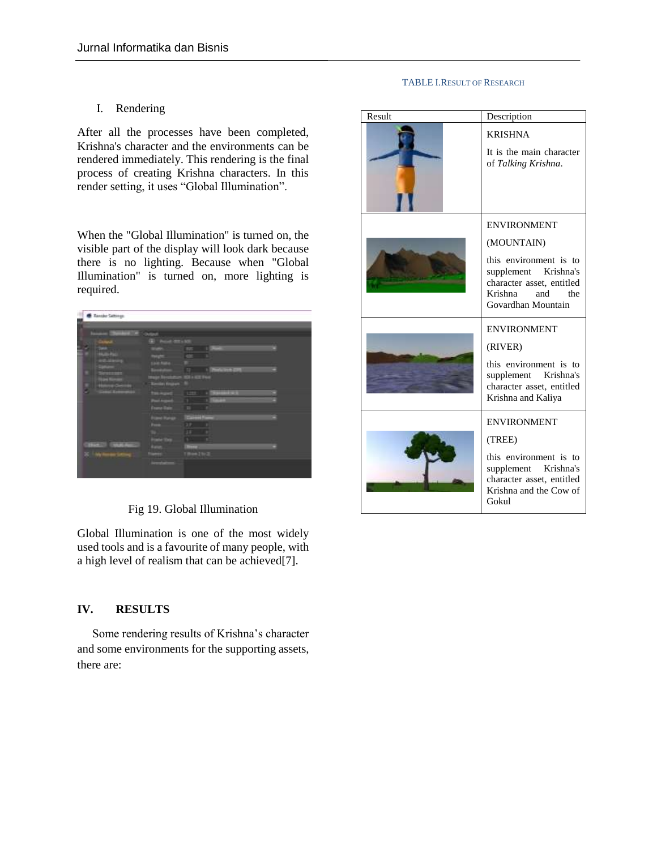#### TABLE I.RESULT OF RESEARCH

# I. Rendering

After all the processes have been completed, Krishna's character and the environments can be rendered immediately. This rendering is the final process of creating Krishna characters. In this render setting, it uses "Global Illumination".

When the "Global Illumination" is turned on, the visible part of the display will look dark because there is no lighting. Because when "Global Illumination" is turned on, more lighting is required.

| <b>C</b> Taxabe Satings                              |                      |                       |  |
|------------------------------------------------------|----------------------|-----------------------|--|
|                                                      |                      |                       |  |
| <b>Contract Service Contract of Contract Service</b> |                      |                       |  |
| down.                                                | -                    | -                     |  |
|                                                      |                      | ٠                     |  |
| <br>٠<br>٠                                           | المستقبل             | E<br>÷                |  |
| <b>PERSONAL</b>                                      |                      |                       |  |
| Ξ                                                    |                      | F<br><b>September</b> |  |
|                                                      |                      | gi an                 |  |
| J                                                    | m                    |                       |  |
|                                                      | ___                  | <b>COL</b><br>≕<br>۰  |  |
|                                                      |                      | ï                     |  |
|                                                      | --                   | Ē                     |  |
|                                                      | <b>Card Ford</b>     | ٠                     |  |
|                                                      |                      | 18                    |  |
|                                                      |                      | ΙŦ<br>T.              |  |
|                                                      | <b>Called Street</b> |                       |  |
| œ<br><b>CONTRACT</b><br>-<br>m                       |                      |                       |  |
| $m =$                                                | .                    | 113<br>œ              |  |
| ◢<br>m                                               |                      |                       |  |
|                                                      |                      |                       |  |
|                                                      |                      |                       |  |

Fig 19. Global Illumination

Global Illumination is one of the most widely used tools and is a favourite of many people, with a high level of realism that can be achieved[7].

### **IV. RESULTS**

Some rendering results of Krishna's character and some environments for the supporting assets, there are:

| Result | Description                                                                                                                                                    |
|--------|----------------------------------------------------------------------------------------------------------------------------------------------------------------|
|        | <b>KRISHNA</b><br>It is the main character<br>of Talking Krishna.                                                                                              |
|        | <b>ENVIRONMENT</b><br>(MOUNTAIN)<br>this environment is to<br>supplement Krishna's<br>character asset, entitled<br>Krishna<br>and<br>the<br>Govardhan Mountain |
|        | <b>ENVIRONMENT</b><br>(RIVER)<br>this environment is to<br>supplement Krishna's<br>character asset, entitled<br>Krishna and Kaliya                             |
|        | <b>ENVIRONMENT</b><br>(TREE)<br>this environment is to<br>supplement Krishna's<br>character asset, entitled<br>Krishna and the Cow of<br>Gokul                 |